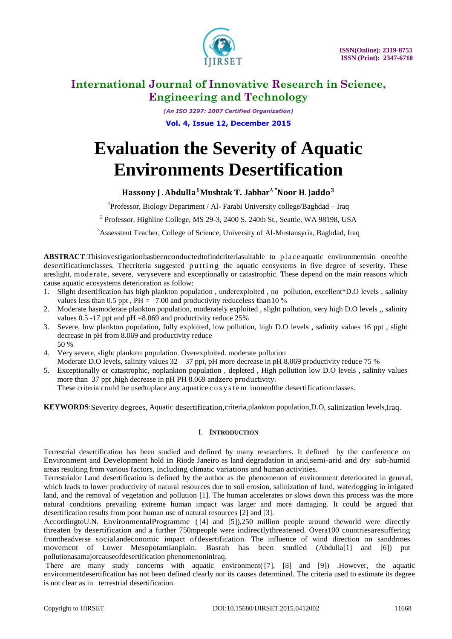

*(An ISO 3297: 2007 Certified Organization)* **Vol. 4, Issue 12, December 2015**

# **Evaluation the Severity of Aquatic Environments Desertification**

### **Hassony J** . Abdulla<sup>1</sup>Mushtak T. Jabbar<sup>2</sup> \*Noor H. Jaddo<sup>3</sup>

<sup>1</sup>Professor, Biology Department / Al- Farabi University college/Baghdad - Iraq

 $2^{2}$  Professor, Highline College, MS 29-3, 2400 S. 240th St., Seattle, WA 98198, USA

<sup>3</sup>Assesstent Teacher, College of Science, University of Al-Mustansyria, Baghdad, Iraq

ABSTRACT:Thisinvestigationhasbeenconductedtofindcriteriasuitable to placeaquatic environmentsin oneofthe desertificationclasses. Thecriteria suggested putting the aquatic ecosystems in five degree of severity. These areslight, moderate, severe, verysevere and exceptionally or catastrophic. These depend on the main reasons which cause aquatic ecosystems deterioration as follow:

- 1. Slight desertification has high plankton population , underexploited , no pollution, excellent\*D.O levels , salinity values less than 0.5 ppt,  $PH = 7.00$  and productivity reduceless than 10 %
- 2. Moderate hasmoderate plankton population, moderately exploited , slight pollution, very high D.O levels ,, salinity values 0.5 -17 ppt and  $pH = 8.069$  and productivity reduce 25%
- 3. Severe, low plankton population, fully exploited, low pollution, high D.O levels , salinity values 16 ppt , slight decrease in pH from 8.069 and productivity reduce 50 %
- 4. Very severe, slight plankton population. Overexploited. moderate pollution Moderate D.O levels, salinity values 32 – 37 ppt, pH more decrease in pH 8.069 productivity reduce 75 %
- 5. Exceptionally or catastrophic, noplankton population , depleted , High pollution low D.O levels , salinity values more than 37 ppt ,high decrease in pH PH 8.069 andzero productivity. These criteria could be usedtoplace any aquatice c o s y s t e m inoneof the desertification classes.

**KEYWORDS**:Severity degrees, Aquatic desertification,criteria,plankton population,D.O, salinization levels,Iraq.

### I. **INTRODUCTION**

Terrestrial desertification has been studied and defined by many researchers. It defined by the conference on Environment and Development hold in Riode Janeiro as land degradation in arid,semi-arid and dry sub-humid areas resulting from various factors, including climatic variations and human activities.

Terrestrialor Land desertification is defined by the author as the phenomenon of environment deteriorated in general, which leads to lower productivity of natural resources due to soil erosion, salinization of land, waterlogging in irrigated land, and the removal of vegetation and pollution [1]. The human accelerates or slows down this process was the more natural conditions prevailing extreme human impact was larger and more damaging. It could be argued that desertification results from poor human use of natural resources [2] and [3].

AccordingtoU.N. EnvironmentalProgramme ([4] and [5]),250 million people around theworld were directly threaten by desertification and a further 750mpeople were indirectlythreatened. Overa100 countriesaresuffering fromtheadverse socialandeconomic impact ofdesertification. The influence of wind direction on sanddrmes movement of Lower Mesopotamianplain. Basrah has been studied (Abdulla[1] and [6]) put pollutionasamajorcauseofdesertification phenomenoninIraq.

There are many study concerns with aquatic environment([7], [8] and [9]) .However, the aquatic environmentdesertification has not been defined clearly nor its causes determined. The criteria used to estimate its degree is not clear as in terrestrial desertification.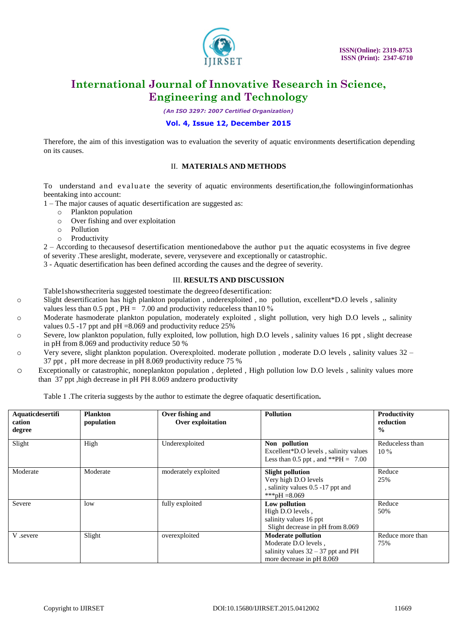

*(An ISO 3297: 2007 Certified Organization)*

### **Vol. 4, Issue 12, December 2015**

Therefore, the aim of this investigation was to evaluation the severity of aquatic environments desertification depending on its causes.

#### II. **MATERIALS AND METHODS**

To understand and evaluate the severity of aquatic environments desertification,the followinginformationhas beentaking into account:

1 – The major causes of aquatic desertification are suggested as:

- o Plankton population
- o Over fishing and over exploitation
- o Pollution
- o Productivity

2 – According to thecausesof desertification mentionedabove the author put the aquatic ecosystems in five degree of severity .These areslight, moderate, severe, verysevere and exceptionally or catastrophic.

3 - Aquatic desertification has been defined according the causes and the degree of severity.

### III. **RESULTS AND DISCUSSION**

- Table1showsthecriteria suggested toestimate the degreeofdesertification:
- o Slight desertification has high plankton population , underexploited , no pollution, excellent\*D.O levels , salinity
	- values less than 0.5 ppt,  $\overline{PH} = 7.00$  and productivity reduceless than 10 %
- o Moderate hasmoderate plankton population, moderately exploited , slight pollution, very high D.O levels ,, salinity values 0.5 -17 ppt and  $pH = 8.069$  and productivity reduce 25%
- o Severe, low plankton population, fully exploited, low pollution, high D.O levels , salinity values 16 ppt , slight decrease in pH from 8.069 and productivity reduce 50 %
- o Very severe, slight plankton population. Overexploited. moderate pollution , moderate D.O levels , salinity values 32 37 ppt , pH more decrease in pH 8.069 productivity reduce 75 %
- o Exceptionally or catastrophic, noneplankton population , depleted , High pollution low D.O levels , salinity values more than 37 ppt ,high decrease in pH PH 8.069 andzero productivity

Table 1 .The criteria suggests by the author to estimate the degree ofaquatic desertification**.**

| Aquaticdesertifi<br>cation<br>degree | <b>Plankton</b><br>population | Over fishing and<br>Over exploitation | <b>Pollution</b>                                                                                                       | Productivity<br>reduction<br>$\frac{0}{0}$ |
|--------------------------------------|-------------------------------|---------------------------------------|------------------------------------------------------------------------------------------------------------------------|--------------------------------------------|
| Slight                               | High                          | Underexploited                        | Non pollution<br>Excellent*D.O levels, salinity values<br>Less than 0.5 ppt, and **PH = $7.00$                         | Reduceless than<br>$10\%$                  |
| Moderate                             | Moderate                      | moderately exploited                  | <b>Slight pollution</b><br>Very high D.O levels<br>, salinity values 0.5 -17 ppt and<br>***pH = 8.069                  | Reduce<br>25%                              |
| Severe                               | low                           | fully exploited                       | Low pollution<br>High D.O levels,<br>salinity values 16 ppt<br>Slight decrease in pH from 8.069                        | Reduce<br>50%                              |
| V .severe                            | Slight                        | overexploited                         | <b>Moderate pollution</b><br>Moderate D.O levels,<br>salinity values $32 - 37$ ppt and PH<br>more decrease in pH 8.069 | Reduce more than<br>75%                    |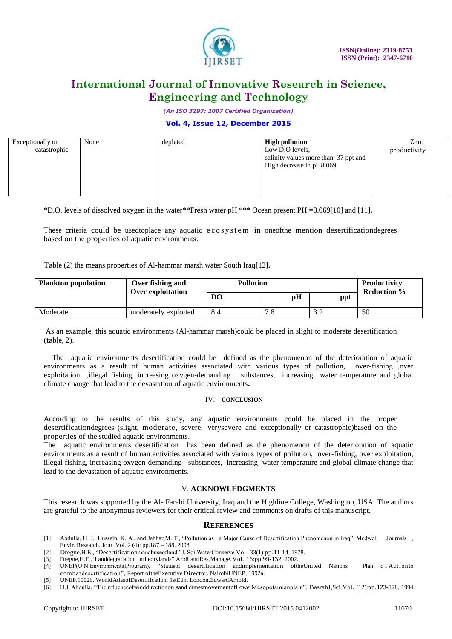

*(An ISO 3297: 2007 Certified Organization)*

### **Vol. 4, Issue 12, December 2015**

| Exceptionally or<br>catastrophic | None | depleted | <b>High pollution</b><br>Low D.O levels,<br>salinity values more than 37 ppt and<br>High decrease in pH8.069 | Zero<br>productivity |
|----------------------------------|------|----------|--------------------------------------------------------------------------------------------------------------|----------------------|
|                                  |      |          |                                                                                                              |                      |

\*D.O. levels of dissolved oxygen in the water\*\*Fresh water pH \*\*\* Ocean present PH =8.069[10] and [11]**.**

These criteria could be usedtoplace any aquatic e cosystem in oneofthe mention desertificationdegrees based on the properties of aquatic environments.

Table (2) the means properties of Al-hammar marsh water South Iraq[12]**.**

| <b>Plankton population</b> | Over fishing and<br>Over exploitation | <b>Pollution</b> |     |     | <b>Productivity</b><br><b>Reduction %</b> |
|----------------------------|---------------------------------------|------------------|-----|-----|-------------------------------------------|
|                            |                                       | D <sub>O</sub>   | pH  | ppt |                                           |
| Moderate                   | moderately exploited                  | 8.4              | 7.8 | ے ک | 50                                        |

As an example, this aquatic environments (Al-hammar marsh)could be placed in slight to moderate desertification (table, 2).

The aquatic environments desertification could be defined as the phenomenon of the deterioration of aquatic environments as a result of human activities associated with various types of pollution, over-fishing ,over exploitation ,illegal fishing, increasing oxygen-demanding substances, increasing water temperature and global climate change that lead to the devastation of aquatic environments**.**

#### IV. **CONCLUSION**

According to the results of this study, any aquatic environments could be placed in the proper desertificationdegrees (slight, moderate, severe, verysevere and exceptionally or catastrophic)based on the properties of the studied aquatic environments.

The aquatic environments desertification has been defined as the phenomenon of the deterioration of aquatic environments as a result of human activities associated with various types of pollution, over-fishing, over exploitation, illegal fishing, increasing oxygen-demanding substances, increasing water temperature and global climate change that lead to the devastation of aquatic environments.

### V. **ACKNOWLEDGMENTS**

This research was supported by the Al- Farabi University, Iraq and the Highline College, Washington, USA. The authors are grateful to the anonymous reviewers for their critical review and comments on drafts of this manuscript.

#### **REFERENCES**

- [1] Abdulla, H. J., Hussein, K. A., and Jabbar,M. T., "Pollution as a Major Cause of Desertification Phenomenon in Iraq", Medwell Journals , Envir. Research. Jour. Vol. 2 (4): pp.187 – 188, 2008.
- [2] Dregne,H.E., "Desertificationmanabuseofland",J. SoilWaterConserve.Vol. 33(1):pp.11-14, 1978.
- [3] Dregne,H.E.,"Landdegradation inthedrylands" AridLandRes,Manage. Vol. 16:pp.99-132, 2002.
- [4] UNEP(U.N.EnvironmentalProgram), "Statusof desertification andimplementation oftheUnited Nations Plan o f Actionto combatdesertification", Report oftheExecutive Director. NairobiUNEP, 1992a.
- [5] UNEP.1992b. WorldAtlasofDesertification. 1stEdn. London.EdwardArnold.
- [6] H.J. Abdulla, "Theinfluenceofwinddirectionon sand dunesmovementofLowerMesopotamianplain", BasrahJ,Sci. Vol. (12):pp.123-128, 1994.